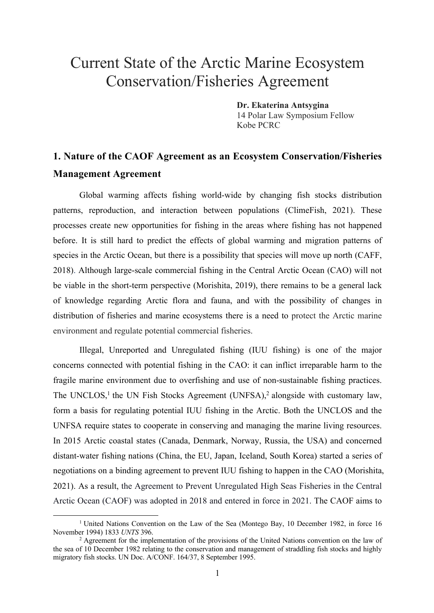# Current State of the Arctic Marine Ecosystem Conservation/Fisheries Agreement

**Dr. Ekaterina Antsygina** 14 Polar Law Symposium Fellow Kobe PCRC

# **1. Nature of the CAOF Agreement as an Ecosystem Conservation/Fisheries Management Agreement**

Global warming affects fishing world-wide by changing fish stocks distribution patterns, reproduction, and interaction between populations (ClimeFish, 2021). These processes create new opportunities for fishing in the areas where fishing has not happened before. It is still hard to predict the effects of global warming and migration patterns of species in the Arctic Ocean, but there is a possibility that species will move up north (CAFF, 2018). Although large-scale commercial fishing in the Central Arctic Ocean (CAO) will not be viable in the short-term perspective (Morishita, 2019), there remains to be a general lack of knowledge regarding Arctic flora and fauna, and with the possibility of changes in distribution of fisheries and marine ecosystems there is a need to protect the Arctic marine environment and regulate potential commercial fisheries.

Illegal, Unreported and Unregulated fishing (IUU fishing) is one of the major concerns connected with potential fishing in the CAO: it can inflict irreparable harm to the fragile marine environment due to overfishing and use of non-sustainable fishing practices. The UNCLOS,<sup>1</sup> the UN Fish Stocks Agreement (UNFSA),<sup>2</sup> alongside with customary law, form a basis for regulating potential IUU fishing in the Arctic. Both the UNCLOS and the UNFSA require states to cooperate in conserving and managing the marine living resources. In 2015 Arctic coastal states (Canada, Denmark, Norway, Russia, the USA) and concerned distant-water fishing nations (China, the EU, Japan, Iceland, South Korea) started a series of negotiations on a binding agreement to prevent IUU fishing to happen in the CAO (Morishita, 2021). As a result, the Agreement to Prevent Unregulated High Seas Fisheries in the Central Arctic Ocean (CAOF) was adopted in 2018 and entered in force in 2021. The CAOF aims to

<sup>&</sup>lt;sup>1</sup> United Nations Convention on the Law of the Sea (Montego Bay, 10 December 1982, in force 16 November 1994) 1833 *UNTS* 396.

 $2$  Agreement for the implementation of the provisions of the United Nations convention on the law of the sea of 10 December 1982 relating to the conservation and management of straddling fish stocks and highly migratory fish stocks. UN Doc. A/CONF. 164/37, 8 September 1995.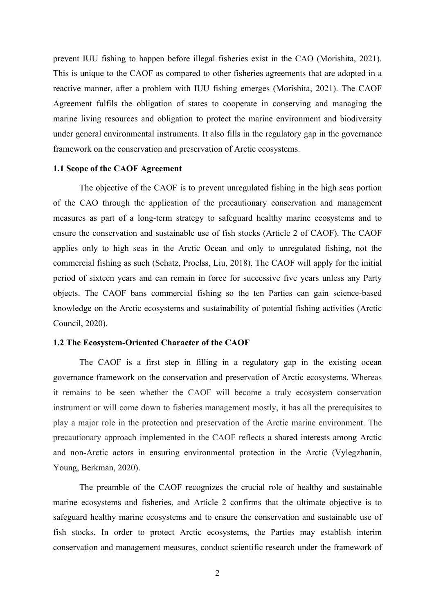prevent IUU fishing to happen before illegal fisheries exist in the CAO (Morishita, 2021). This is unique to the CAOF as compared to other fisheries agreements that are adopted in a reactive manner, after a problem with IUU fishing emerges (Morishita, 2021). The CAOF Agreement fulfils the obligation of states to cooperate in conserving and managing the marine living resources and obligation to protect the marine environment and biodiversity under general environmental instruments. It also fills in the regulatory gap in the governance framework on the conservation and preservation of Arctic ecosystems.

#### **1.1 Scope of the CAOF Agreement**

The objective of the CAOF is to prevent unregulated fishing in the high seas portion of the CAO through the application of the precautionary conservation and management measures as part of a long-term strategy to safeguard healthy marine ecosystems and to ensure the conservation and sustainable use of fish stocks (Article 2 of CAOF). The CAOF applies only to high seas in the Arctic Ocean and only to unregulated fishing, not the commercial fishing as such (Schatz, Proelss, Liu, 2018). The CAOF will apply for the initial period of sixteen years and can remain in force for successive five years unless any Party objects. The CAOF bans commercial fishing so the ten Parties can gain science-based knowledge on the Arctic ecosystems and sustainability of potential fishing activities (Arctic Council, 2020).

#### **1.2 The Ecosystem-Oriented Character of the CAOF**

The CAOF is a first step in filling in a regulatory gap in the existing ocean governance framework on the conservation and preservation of Arctic ecosystems. Whereas it remains to be seen whether the CAOF will become a truly ecosystem conservation instrument or will come down to fisheries management mostly, it has all the prerequisites to play a major role in the protection and preservation of the Arctic marine environment. The precautionary approach implemented in the CAOF reflects a shared interests among Arctic and non-Arctic actors in ensuring environmental protection in the Arctic (Vylegzhanin, Young, Berkman, 2020).

The preamble of the CAOF recognizes the crucial role of healthy and sustainable marine ecosystems and fisheries, and Article 2 confirms that the ultimate objective is to safeguard healthy marine ecosystems and to ensure the conservation and sustainable use of fish stocks. In order to protect Arctic ecosystems, the Parties may establish interim conservation and management measures, conduct scientific research under the framework of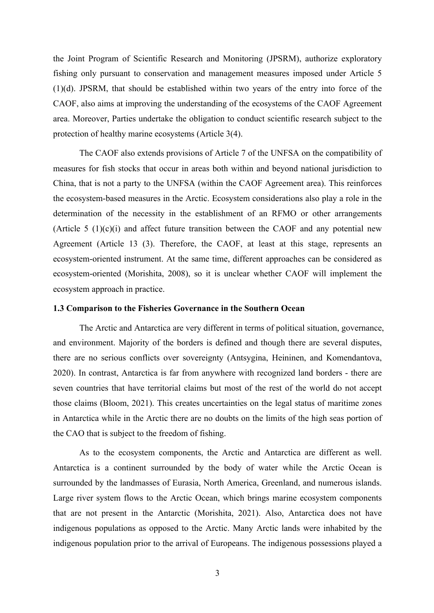the Joint Program of Scientific Research and Monitoring (JPSRM), authorize exploratory fishing only pursuant to conservation and management measures imposed under Article 5 (1)(d). JPSRM, that should be established within two years of the entry into force of the CAOF, also aims at improving the understanding of the ecosystems of the CAOF Agreement area. Moreover, Parties undertake the obligation to conduct scientific research subject to the protection of healthy marine ecosystems (Article 3(4).

The CAOF also extends provisions of Article 7 of the UNFSA on the compatibility of measures for fish stocks that occur in areas both within and beyond national jurisdiction to China, that is not a party to the UNFSA (within the CAOF Agreement area). This reinforces the ecosystem-based measures in the Arctic. Ecosystem considerations also play a role in the determination of the necessity in the establishment of an RFMO or other arrangements (Article 5  $(1)(c)(i)$  and affect future transition between the CAOF and any potential new Agreement (Article 13 (3). Therefore, the CAOF, at least at this stage, represents an ecosystem-oriented instrument. At the same time, different approaches can be considered as ecosystem-oriented (Morishita, 2008), so it is unclear whether CAOF will implement the ecosystem approach in practice.

#### **1.3 Comparison to the Fisheries Governance in the Southern Ocean**

The Arctic and Antarctica are very different in terms of political situation, governance, and environment. Majority of the borders is defined and though there are several disputes, there are no serious conflicts over sovereignty (Antsygina, Heininen, and Komendantova, 2020). In contrast, Antarctica is far from anywhere with recognized land borders - there are seven countries that have territorial claims but most of the rest of the world do not accept those claims (Bloom, 2021). This creates uncertainties on the legal status of maritime zones in Antarctica while in the Arctic there are no doubts on the limits of the high seas portion of the CAO that is subject to the freedom of fishing.

As to the ecosystem components, the Arctic and Antarctica are different as well. Antarctica is a continent surrounded by the body of water while the Arctic Ocean is surrounded by the landmasses of Eurasia, North America, Greenland, and numerous islands. Large river system flows to the Arctic Ocean, which brings marine ecosystem components that are not present in the Antarctic (Morishita, 2021). Also, Antarctica does not have indigenous populations as opposed to the Arctic. Many Arctic lands were inhabited by the indigenous population prior to the arrival of Europeans. The indigenous possessions played a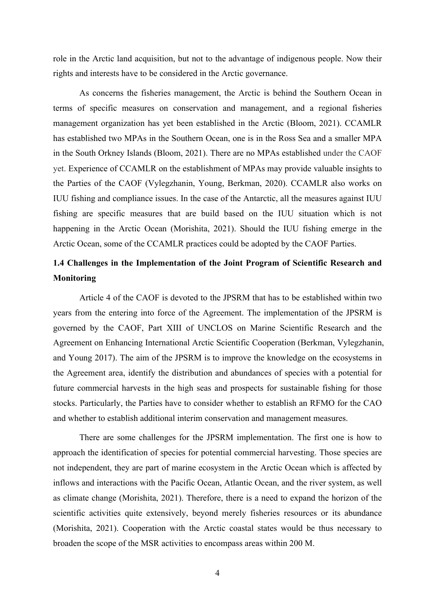role in the Arctic land acquisition, but not to the advantage of indigenous people. Now their rights and interests have to be considered in the Arctic governance.

As concerns the fisheries management, the Arctic is behind the Southern Ocean in terms of specific measures on conservation and management, and a regional fisheries management organization has yet been established in the Arctic (Bloom, 2021). CCAMLR has established two MPAs in the Southern Ocean, one is in the Ross Sea and a smaller MPA in the South Orkney Islands (Bloom, 2021). There are no MPAs established under the CAOF yet. Experience of CCAMLR on the establishment of MPAs may provide valuable insights to the Parties of the CAOF (Vylegzhanin, Young, Berkman, 2020). CCAMLR also works on IUU fishing and compliance issues. In the case of the Antarctic, all the measures against IUU fishing are specific measures that are build based on the IUU situation which is not happening in the Arctic Ocean (Morishita, 2021). Should the IUU fishing emerge in the Arctic Ocean, some of the CCAMLR practices could be adopted by the CAOF Parties.

## **1.4 Challenges in the Implementation of the Joint Program of Scientific Research and Monitoring**

Article 4 of the CAOF is devoted to the JPSRM that has to be established within two years from the entering into force of the Agreement. The implementation of the JPSRM is governed by the CAOF, Part XIII of UNCLOS on Marine Scientific Research and the Agreement on Enhancing International Arctic Scientific Cooperation (Berkman, Vylegzhanin, and Young 2017). The aim of the JPSRM is to improve the knowledge on the ecosystems in the Agreement area, identify the distribution and abundances of species with a potential for future commercial harvests in the high seas and prospects for sustainable fishing for those stocks. Particularly, the Parties have to consider whether to establish an RFMO for the CAO and whether to establish additional interim conservation and management measures.

There are some challenges for the JPSRM implementation. The first one is how to approach the identification of species for potential commercial harvesting. Those species are not independent, they are part of marine ecosystem in the Arctic Ocean which is affected by inflows and interactions with the Pacific Ocean, Atlantic Ocean, and the river system, as well as climate change (Morishita, 2021). Therefore, there is a need to expand the horizon of the scientific activities quite extensively, beyond merely fisheries resources or its abundance (Morishita, 2021). Cooperation with the Arctic coastal states would be thus necessary to broaden the scope of the MSR activities to encompass areas within 200 M.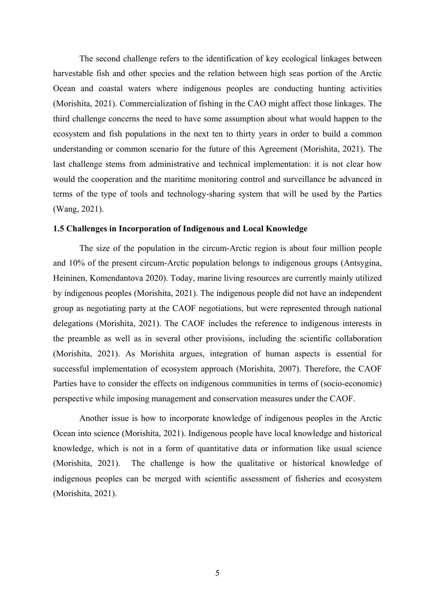The second challenge refers to the identification of key ecological linkages between harvestable fish and other species and the relation between high seas portion of the Arctic Ocean and coastal waters where indigenous peoples are conducting hunting activities (Morishita, 2021). Commercialization of fishing in the CAO might affect those linkages. The third challenge concerns the need to have some assumption about what would happen to the ecosystem and fish populations in the next ten to thirty years in order to build a common understanding or common scenario for the future of this Agreement (Morishita, 2021). The last challenge stems from administrative and technical implementation: it is not clear how would the cooperation and the maritime monitoring control and surveillance be advanced in terms of the type of tools and technology-sharing system that will be used by the Parties (Wang, 2021).

#### **1.5 Challenges in Incorporation of Indigenous and Local Knowledge**

The size of the population in the circum-Arctic region is about four million people and 10% of the present circum-Arctic population belongs to indigenous groups (Antsygina, Heininen, Komendantova 2020). Today, marine living resources are currently mainly utilized by indigenous peoples (Morishita, 2021). The indigenous people did not have an independent group as negotiating party at the CAOF negotiations, but were represented through national delegations (Morishita, 2021). The CAOF includes the reference to indigenous interests in the preamble as well as in several other provisions, including the scientific collaboration (Morishita, 2021). As Morishita argues, integration of human aspects is essential for successful implementation of ecosystem approach (Morishita, 2007). Therefore, the CAOF Parties have to consider the effects on indigenous communities in terms of (socio-economic) perspective while imposing management and conservation measures under the CAOF.

Another issue is how to incorporate knowledge of indigenous peoples in the Arctic Ocean into science (Morishita, 2021). Indigenous people have local knowledge and historical knowledge, which is not in a form of quantitative data or information like usual science (Morishita, 2021). The challenge is how the qualitative or historical knowledge of indigenous peoples can be merged with scientific assessment of fisheries and ecosystem (Morishita, 2021).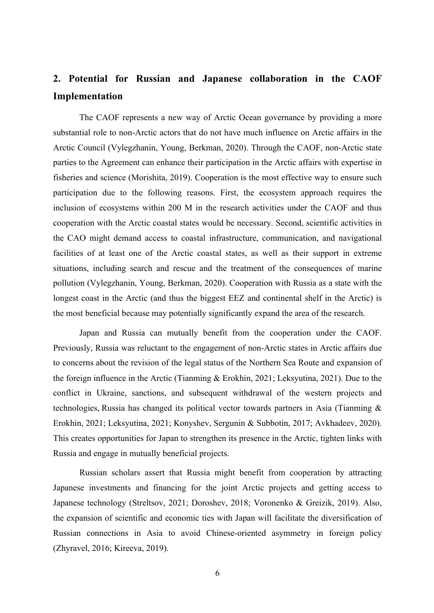# **2. Potential for Russian and Japanese collaboration in the CAOF Implementation**

The CAOF represents a new way of Arctic Ocean governance by providing a more substantial role to non-Arctic actors that do not have much influence on Arctic affairs in the Arctic Council (Vylegzhanin, Young, Berkman, 2020). Through the CAOF, non-Arctic state parties to the Agreement can enhance their participation in the Arctic affairs with expertise in fisheries and science (Morishita, 2019). Cooperation is the most effective way to ensure such participation due to the following reasons. First, the ecosystem approach requires the inclusion of ecosystems within 200 M in the research activities under the CAOF and thus cooperation with the Arctic coastal states would be necessary. Second, scientific activities in the CAO might demand access to coastal infrastructure, communication, and navigational facilities of at least one of the Arctic coastal states, as well as their support in extreme situations, including search and rescue and the treatment of the consequences of marine pollution (Vylegzhanin, Young, Berkman, 2020). Cooperation with Russia as a state with the longest coast in the Arctic (and thus the biggest EEZ and continental shelf in the Arctic) is the most beneficial because may potentially significantly expand the area of the research.

Japan and Russia can mutually benefit from the cooperation under the CAOF. Previously, Russia was reluctant to the engagement of non-Arctic states in Arctic affairs due to concerns about the revision of the legal status of the Northern Sea Route and expansion of the foreign influence in the Arctic (Tianming & Erokhin, 2021; Leksyutina, 2021). Due to the conflict in Ukraine, sanctions, and subsequent withdrawal of the western projects and technologies, Russia has changed its political vector towards partners in Asia (Tianming & Erokhin, 2021; Leksyutina, 2021; Konyshev, Sergunin & Subbotin, 2017; Avkhadeev, 2020). This creates opportunities for Japan to strengthen its presence in the Arctic, tighten links with Russia and engage in mutually beneficial projects.

Russian scholars assert that Russia might benefit from cooperation by attracting Japanese investments and financing for the joint Arctic projects and getting access to Japanese technology (Streltsov, 2021; Doroshev, 2018; Voronenko & Greizik, 2019). Also, the expansion of scientific and economic ties with Japan will facilitate the diversification of Russian connections in Asia to avoid Chinese-oriented asymmetry in foreign policy (Zhyravel, 2016; Kireeva, 2019).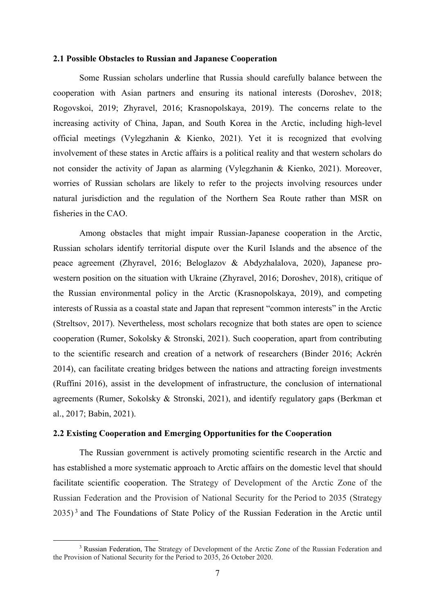#### **2.1 Possible Obstacles to Russian and Japanese Cooperation**

Some Russian scholars underline that Russia should carefully balance between the cooperation with Asian partners and ensuring its national interests (Doroshev, 2018; Rogovskoi, 2019; Zhyravel, 2016; Krasnopolskaya, 2019). The concerns relate to the increasing activity of China, Japan, and South Korea in the Arctic, including high-level official meetings (Vylegzhanin & Kienko, 2021). Yet it is recognized that evolving involvement of these states in Arctic affairs is a political reality and that western scholars do not consider the activity of Japan as alarming (Vylegzhanin & Kienko, 2021). Moreover, worries of Russian scholars are likely to refer to the projects involving resources under natural jurisdiction and the regulation of the Northern Sea Route rather than MSR on fisheries in the CAO.

Among obstacles that might impair Russian-Japanese cooperation in the Arctic, Russian scholars identify territorial dispute over the Kuril Islands and the absence of the peace agreement (Zhyravel, 2016; Beloglazov & Abdyzhalalova, 2020), Japanese prowestern position on the situation with Ukraine (Zhyravel, 2016; Doroshev, 2018), critique of the Russian environmental policy in the Arctic (Krasnopolskaya, 2019), and competing interests of Russia as a coastal state and Japan that represent "common interests" in the Arctic (Streltsov, 2017). Nevertheless, most scholars recognize that both states are open to science cooperation (Rumer, Sokolsky & Stronski, 2021). Such cooperation, apart from contributing to the scientific research and creation of a network of researchers (Binder 2016; Ackrén 2014), can facilitate creating bridges between the nations and attracting foreign investments (Ruffini 2016), assist in the development of infrastructure, the conclusion of international agreements (Rumer, Sokolsky & Stronski, 2021), and identify regulatory gaps (Berkman et al., 2017; Babin, 2021).

### **2.2 Existing Cooperation and Emerging Opportunities for the Cooperation**

The Russian government is actively promoting scientific research in the Arctic and has established a more systematic approach to Arctic affairs on the domestic level that should facilitate scientific cooperation. The Strategy of Development of the Arctic Zone of the Russian Federation and the Provision of National Security for the Period to 2035 (Strategy  $2035$ <sup>3</sup> and The Foundations of State Policy of the Russian Federation in the Arctic until

<sup>&</sup>lt;sup>3</sup> Russian Federation, The Strategy of Development of the Arctic Zone of the Russian Federation and the Provision of National Security for the Period to 2035, 26 October 2020.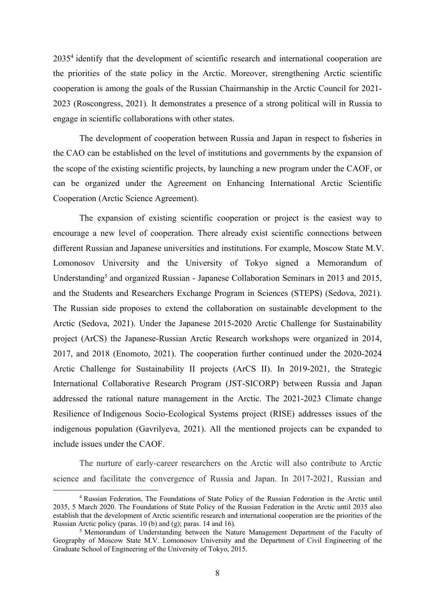20354 identify that the development of scientific research and international cooperation are the priorities of the state policy in the Arctic. Moreover, strengthening Arctic scientific cooperation is among the goals of the Russian Chairmanship in the Arctic Council for 2021- 2023 (Roscongress, 2021)*.* It demonstrates a presence of a strong political will in Russia to engage in scientific collaborations with other states.

The development of cooperation between Russia and Japan in respect to fisheries in the CAO can be established on the level of institutions and governments by the expansion of the scope of the existing scientific projects, by launching a new program under the CAOF, or can be organized under the Agreement on Enhancing International Arctic Scientific Cooperation (Arctic Science Agreement).

The expansion of existing scientific cooperation or project is the easiest way to encourage a new level of cooperation. There already exist scientific connections between different Russian and Japanese universities and institutions. For example, Moscow State M.V. Lomonosov University and the University of Tokyo signed a Memorandum of Understanding<sup>5</sup> and organized Russian - Japanese Collaboration Seminars in 2013 and 2015, and the Students and Researchers Exchange Program in Sciences (STEPS) (Sedova, 2021). The Russian side proposes to extend the collaboration on sustainable development to the Arctic (Sedova, 2021). Under the Japanese 2015-2020 Arctic Challenge for Sustainability project (ArCS) the Japanese-Russian Arctic Research workshops were organized in 2014, 2017, and 2018 (Enomoto, 2021). The cooperation further continued under the 2020-2024 Arctic Challenge for Sustainability II projects (ArCS II). In 2019-2021, the Strategic International Collaborative Research Program (JST-SICORP) between Russia and Japan addressed the rational nature management in the Arctic. The 2021-2023 Climate change Resilience of Indigenous Socio-Ecological Systems project (RISE) addresses issues of the indigenous population (Gavrilyeva, 2021). All the mentioned projects can be expanded to include issues under the CAOF.

The nurture of early-career researchers on the Arctic will also contribute to Arctic science and facilitate the convergence of Russia and Japan. In 2017-2021, Russian and

<sup>4</sup> Russian Federation, The Foundations of State Policy of the Russian Federation in the Arctic until 2035, 5 March 2020. The Foundations of State Policy of the Russian Federation in the Arctic until 2035 also establish that the development of Arctic scientific research and international cooperation are the priorities of the Russian Arctic policy (paras. 10 (b) and (g); paras. 14 and 16).

<sup>5</sup> Memorandum of Understanding between the Nature Management Department of the Faculty of Geography of Moscow State M.V. Lomonosov University and the Department of Civil Engineering of the Graduate School of Engineering of the University of Tokyo, 2015.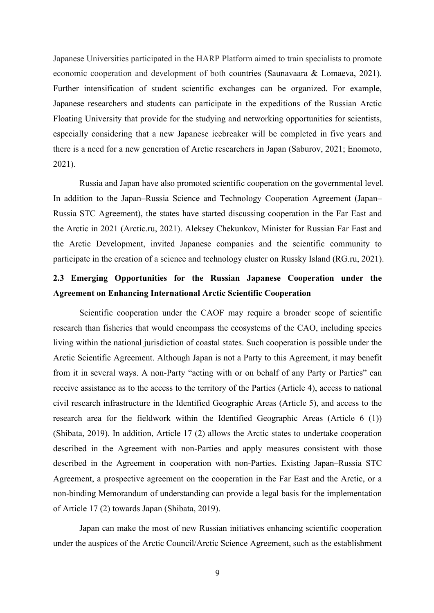Japanese Universities participated in the HARP Platform aimed to train specialists to promote economic cooperation and development of both countries (Saunavaara & Lomaeva, 2021). Further intensification of student scientific exchanges can be organized. For example, Japanese researchers and students can participate in the expeditions of the Russian Arctic Floating University that provide for the studying and networking opportunities for scientists, especially considering that a new Japanese icebreaker will be completed in five years and there is a need for a new generation of Arctic researchers in Japan (Saburov, 2021; Enomoto, 2021).

Russia and Japan have also promoted scientific cooperation on the governmental level. In addition to the Japan–Russia Science and Technology Cooperation Agreement (Japan– Russia STC Agreement), the states have started discussing cooperation in the Far East and the Arctic in 2021 (Arctic.ru, 2021). Aleksey Chekunkov, Minister for Russian Far East and the Arctic Development, invited Japanese companies and the scientific community to participate in the creation of a science and technology cluster on Russky Island (RG.ru, 2021).

### **2.3 Emerging Opportunities for the Russian Japanese Cooperation under the Agreement on Enhancing International Arctic Scientific Cooperation**

Scientific cooperation under the CAOF may require a broader scope of scientific research than fisheries that would encompass the ecosystems of the CAO, including species living within the national jurisdiction of coastal states. Such cooperation is possible under the Arctic Scientific Agreement. Although Japan is not a Party to this Agreement, it may benefit from it in several ways. A non-Party "acting with or on behalf of any Party or Parties" can receive assistance as to the access to the territory of the Parties (Article 4), access to national civil research infrastructure in the Identified Geographic Areas (Article 5), and access to the research area for the fieldwork within the Identified Geographic Areas (Article 6 (1)) (Shibata, 2019). In addition, Article 17 (2) allows the Arctic states to undertake cooperation described in the Agreement with non-Parties and apply measures consistent with those described in the Agreement in cooperation with non-Parties. Existing Japan–Russia STC Agreement, a prospective agreement on the cooperation in the Far East and the Arctic, or a non-binding Memorandum of understanding can provide a legal basis for the implementation of Article 17 (2) towards Japan (Shibata, 2019).

Japan can make the most of new Russian initiatives enhancing scientific cooperation under the auspices of the Arctic Council/Arctic Science Agreement, such as the establishment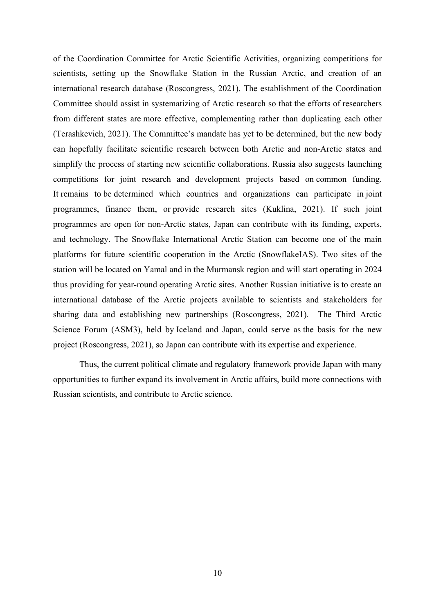of the Coordination Committee for Arctic Scientific Activities, organizing competitions for scientists, setting up the Snowflake Station in the Russian Arctic, and creation of an international research database (Roscongress, 2021). The establishment of the Coordination Committee should assist in systematizing of Arctic research so that the efforts of researchers from different states are more effective, complementing rather than duplicating each other (Terashkevich, 2021). The Committee's mandate has yet to be determined, but the new body can hopefully facilitate scientific research between both Arctic and non-Arctic states and simplify the process of starting new scientific collaborations. Russia also suggests launching competitions for joint research and development projects based on common funding. It remains to be determined which countries and organizations can participate in joint programmes, finance them, or provide research sites (Kuklina, 2021). If such joint programmes are open for non-Arctic states, Japan can contribute with its funding, experts, and technology. The Snowflake International Arctic Station can become one of the main platforms for future scientific cooperation in the Arctic (SnowflakeIAS). Two sites of the station will be located on Yamal and in the Murmansk region and will start operating in 2024 thus providing for year-round operating Arctic sites. Another Russian initiative is to create an international database of the Arctic projects available to scientists and stakeholders for sharing data and establishing new partnerships (Roscongress, 2021). The Third Arctic Science Forum (ASM3), held by Iceland and Japan, could serve as the basis for the new project (Roscongress, 2021), so Japan can contribute with its expertise and experience.

Thus, the current political climate and regulatory framework provide Japan with many opportunities to further expand its involvement in Arctic affairs, build more connections with Russian scientists, and contribute to Arctic science.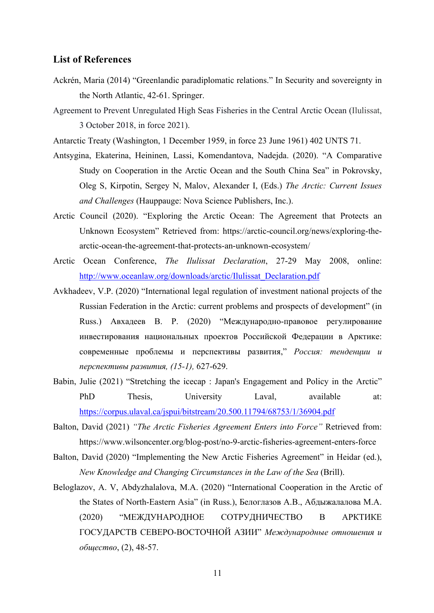#### **List of References**

- Ackrén, Maria (2014) "Greenlandic paradiplomatic relations." In Security and sovereignty in the North Atlantic, 42-61. Springer.
- Agreement to Prevent Unregulated High Seas Fisheries in the Central Arctic Ocean (Ilulissat, 3 October 2018, in force 2021).

Antarctic Treaty (Washington, 1 December 1959, in force 23 June 1961) 402 UNTS 71.

- Antsygina, Ekaterina, Heininen, Lassi, Komendantova, Nadejda. (2020). "A Comparative Study on Cooperation in the Arctic Ocean and the South China Sea" in Pokrovsky, Oleg S, Kirpotin, Sergey N, Malov, Alexander I, (Eds.) *The Arctic: Current Issues and Challenges* (Hauppauge: Nova Science Publishers, Inc.).
- Arctic Council (2020). "Exploring the Arctic Ocean: The Agreement that Protects an Unknown Ecosystem" Retrieved from: https://arctic-council.org/news/exploring-thearctic-ocean-the-agreement-that-protects-an-unknown-ecosystem/
- Arctic Ocean Conference, *The Ilulissat Declaration*, 27-29 May 2008, online: http://www.oceanlaw.org/downloads/arctic/Ilulissat\_Declaration.pdf
- Avkhadeev, V.P. (2020) "International legal regulation of investment national projects of the Russian Federation in the Arctic: current problems and prospects of development" (in Russ.) Авхадеев В. Р. (2020) "Международно-правовое регулирование инвестирования национальных проектов Российской Федерации в Арктике: современные проблемы и перспективы развития," *Россия: тенденции и перспективы развития, (15-1),* 627-629.
- Babin, Julie (2021) "Stretching the icecap : Japan's Engagement and Policy in the Arctic" PhD Thesis, University Laval, available at: https://corpus.ulaval.ca/jspui/bitstream/20.500.11794/68753/1/36904.pdf
- Balton, David (2021) *"The Arctic Fisheries Agreement Enters into Force"* Retrieved from: https://www.wilsoncenter.org/blog-post/no-9-arctic-fisheries-agreement-enters-force
- Balton, David (2020) "Implementing the New Arctic Fisheries Agreement" in Heidar (ed.), *New Knowledge and Changing Circumstances in the Law of the Sea* (Brill).
- Beloglazov, A. V, Abdyzhalalova, M.A. (2020) "International Cooperation in the Arctic of the States of North-Eastern Asia" (in Russ.), Белоглазов А.В., Абдыжалалова М.А. (2020) "МЕЖДУНАРОДНОЕ СОТРУДНИЧЕСТВО В АРКТИКЕ ГОСУДАРСТВ СЕВЕРО-ВОСТОЧНОЙ АЗИИ" *Международные отношения и общество*, (2), 48-57.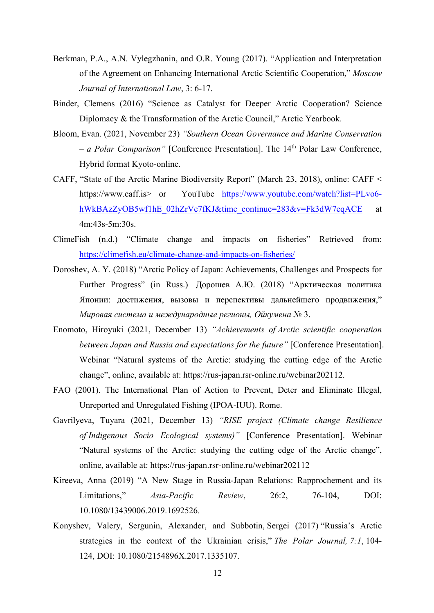- Berkman, P.A., A.N. Vylegzhanin, and O.R. Young (2017). "Application and Interpretation of the Agreement on Enhancing International Arctic Scientific Cooperation," *Moscow Journal of International Law*, 3: 6-17.
- Binder, Clemens (2016) "Science as Catalyst for Deeper Arctic Cooperation? Science Diplomacy & the Transformation of the Arctic Council," Arctic Yearbook.
- Bloom, Evan. (2021, November 23) *"Southern Ocean Governance and Marine Conservation – a Polar Comparison"* [Conference Presentation]. The 14th Polar Law Conference, Hybrid format Kyoto-online.
- CAFF, "State of the Arctic Marine Biodiversity Report" (March 23, 2018), online: CAFF < https://www.caff.is> or YouTube https://www.youtube.com/watch?list=PLvo6 hWkBAzZyOB5wf1hE\_02hZrVe7fKJ&time\_continue=283&v=Fk3dW7eqACE at 4m:43s-5m:30s.
- ClimeFish (n.d.) "Climate change and impacts on fisheries" Retrieved from: https://climefish.eu/climate-change-and-impacts-on-fisheries/
- Doroshev, A. Y. (2018) "Arctic Policy of Japan: Achievements, Challenges and Prospects for Further Progress" (in Russ.) Дорошев А.Ю. (2018) "Арктическая политика Японии: достижения, вызовы и перспективы дальнейшего продвижения," *Мировая система и международные регионы, Ойкумена* № 3.
- Enomoto, Hiroyuki (2021, December 13) *"Achievements of Arctic scientific cooperation between Japan and Russia and expectations for the future"* [Conference Presentation]. Webinar "Natural systems of the Arctic: studying the cutting edge of the Arctic change", online, available at: https://rus-japan.rsr-online.ru/webinar202112.
- FAO (2001). The International Plan of Action to Prevent, Deter and Eliminate Illegal, Unreported and Unregulated Fishing (IPOA-IUU). Rome.
- Gavrilyeva, Tuyara (2021, December 13) *"RISE project (Climate change Resilience of Indigenous Socio Ecological systems)"* [Conference Presentation]. Webinar "Natural systems of the Arctic: studying the cutting edge of the Arctic change", online, available at: https://rus-japan.rsr-online.ru/webinar202112
- Kireeva, Anna (2019) "A New Stage in Russia-Japan Relations: Rapprochement and its Limitations," *Asia-Pacific Review*, 26:2, 76-104, DOI: 10.1080/13439006.2019.1692526.
- Konyshev, Valery, Sergunin, Alexander, and Subbotin, Sergei (2017) "Russia's Arctic strategies in the context of the Ukrainian crisis," *The Polar Journal, 7:1*, 104- 124, DOI: 10.1080/2154896X.2017.1335107.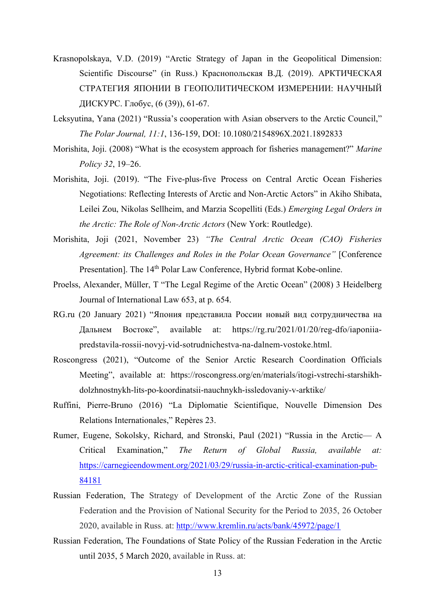- Krasnopolskaya, V.D. (2019) "Arctic Strategy of Japan in the Geopolitical Dimension: Scientific Discourse" (in Russ.) Краснопольская В.Д. (2019). АРКТИЧЕСКАЯ СТРАТЕГИЯ ЯПОНИИ В ГЕОПОЛИТИЧЕСКОМ ИЗМЕРЕНИИ: НАУЧНЫЙ ДИСКУРС. Глобус, (6 (39)), 61-67.
- Leksyutina, Yana (2021) "Russia's cooperation with Asian observers to the Arctic Council," *The Polar Journal, 11:1*, 136-159, DOI: 10.1080/2154896X.2021.1892833
- Morishita, Joji. (2008) "What is the ecosystem approach for fisheries management?" *Marine Policy 32*, 19–26.
- Morishita, Joji. (2019). "The Five-plus-five Process on Central Arctic Ocean Fisheries Negotiations: Reflecting Interests of Arctic and Non-Arctic Actors" in Akiho Shibata, Leilei Zou, Nikolas Sellheim, and Marzia Scopelliti (Eds.) *Emerging Legal Orders in the Arctic: The Role of Non-Arctic Actors* (New York: Routledge).
- Morishita, Joji (2021, November 23) *"The Central Arctic Ocean (CAO) Fisheries Agreement: its Challenges and Roles in the Polar Ocean Governance"* [Conference Presentation]. The 14<sup>th</sup> Polar Law Conference, Hybrid format Kobe-online.
- Proelss, Alexander, Müller, T "The Legal Regime of the Arctic Ocean" (2008) 3 Heidelberg Journal of International Law 653, at p. 654.
- RG.ru (20 January 2021) "Япония представила России новый вид сотрудничества на Дальнем Востоке", available at: https://rg.ru/2021/01/20/reg-dfo/iaponiiapredstavila-rossii-novyj-vid-sotrudnichestva-na-dalnem-vostoke.html.
- Roscongress (2021), "Outcome of the Senior Arctic Research Coordination Officials Meeting", available at: https://roscongress.org/en/materials/itogi-vstrechi-starshikhdolzhnostnykh-lits-po-koordinatsii-nauchnykh-issledovaniy-v-arktike/
- Ruffini, Pierre-Bruno (2016) "La Diplomatie Scientifique, Nouvelle Dimension Des Relations Internationales," Repères 23.
- Rumer, Eugene, Sokolsky, Richard, and Stronski, Paul (2021) "Russia in the Arctic— A Critical Examination," *The Return of Global Russia, available at:*  https://carnegieendowment.org/2021/03/29/russia-in-arctic-critical-examination-pub-84181
- Russian Federation, The Strategy of Development of the Arctic Zone of the Russian Federation and the Provision of National Security for the Period to 2035, 26 October 2020, available in Russ. at: http://www.kremlin.ru/acts/bank/45972/page/1
- Russian Federation, The Foundations of State Policy of the Russian Federation in the Arctic until 2035, 5 March 2020, available in Russ. at: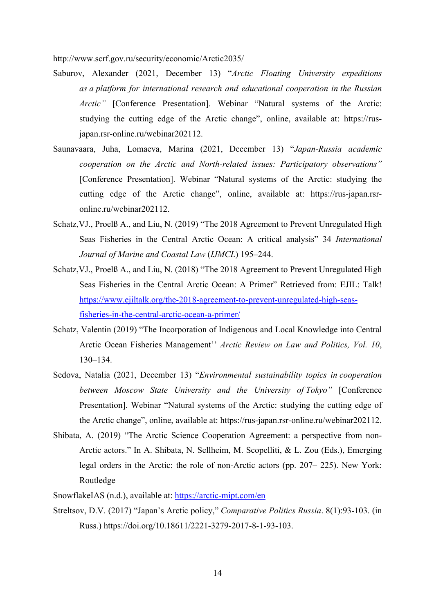http://www.scrf.gov.ru/security/economic/Arctic2035/

- Saburov, Alexander (2021, December 13) "*Arctic Floating University expeditions as a platform for international research and educational cooperation in the Russian Arctic"* [Conference Presentation]. Webinar "Natural systems of the Arctic: studying the cutting edge of the Arctic change", online, available at: https://rusjapan.rsr-online.ru/webinar202112.
- Saunavaara, Juha, Lomaeva, Marina (2021, December 13) "*Japan-Russia academic cooperation on the Arctic and North-related issues: Participatory observations"* [Conference Presentation]. Webinar "Natural systems of the Arctic: studying the cutting edge of the Arctic change", online, available at: https://rus-japan.rsronline.ru/webinar202112.
- Schatz,VJ., Proelß A., and Liu, N. (2019) "The 2018 Agreement to Prevent Unregulated High Seas Fisheries in the Central Arctic Ocean: A critical analysis" 34 *International Journal of Marine and Coastal Law* (*IJMCL*) 195–244.
- Schatz,VJ., Proelß A., and Liu, N. (2018) "The 2018 Agreement to Prevent Unregulated High Seas Fisheries in the Central Arctic Ocean: A Primer" Retrieved from: EJIL: Talk! https://www.ejiltalk.org/the-2018-agreement-to-prevent-unregulated-high-seasfisheries-in-the-central-arctic-ocean-a-primer/
- Schatz, Valentin (2019) "The Incorporation of Indigenous and Local Knowledge into Central Arctic Ocean Fisheries Management'' *Arctic Review on Law and Politics, Vol. 10*, 130–134.
- Sedova, Natalia (2021, December 13) "*Environmental sustainability topics in cooperation between Moscow State University and the University of Tokyo"* [Conference Presentation]. Webinar "Natural systems of the Arctic: studying the cutting edge of the Arctic change", online, available at: https://rus-japan.rsr-online.ru/webinar202112.
- Shibata, A. (2019) "The Arctic Science Cooperation Agreement: a perspective from non-Arctic actors." In A. Shibata, N. Sellheim, M. Scopelliti, & L. Zou (Eds.), Emerging legal orders in the Arctic: the role of non-Arctic actors (pp. 207– 225). New York: Routledge
- SnowflakeIAS (n.d.), available at: https://arctic-mipt.com/en
- Streltsov, D.V. (2017) "Japan's Arctic policy," *Comparative Politics Russia*. 8(1):93-103. (in Russ.) https://doi.org/10.18611/2221-3279-2017-8-1-93-103.